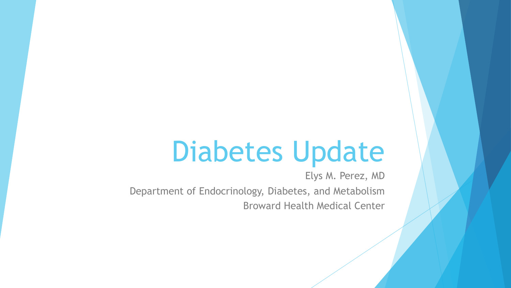# Diabetes Update

Elys M. Perez, MD Department of Endocrinology, Diabetes, and Metabolism Broward Health Medical Center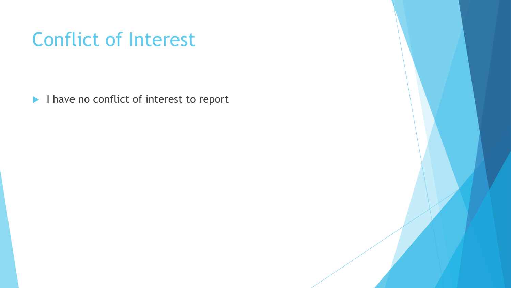#### Conflict of Interest

I have no conflict of interest to report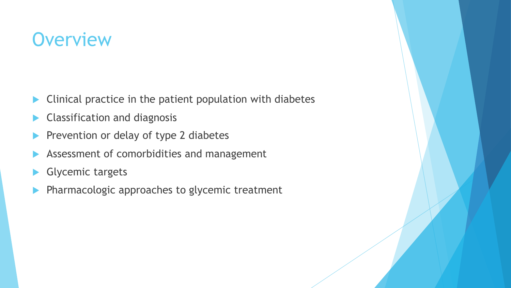#### **Overview**

- **Clinical practice in the patient population with diabetes**
- Classification and diagnosis
- Prevention or delay of type 2 diabetes
- Assessment of comorbidities and management
- Glycemic targets
- Pharmacologic approaches to glycemic treatment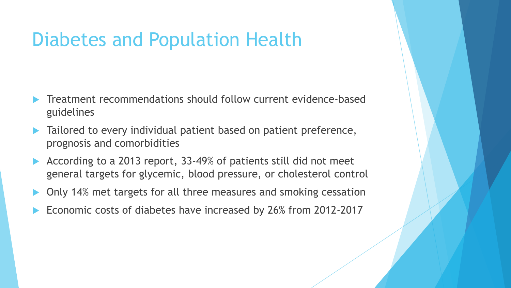#### Diabetes and Population Health

- Treatment recommendations should follow current evidence-based guidelines
- Tailored to every individual patient based on patient preference, prognosis and comorbidities
- According to a 2013 report, 33-49% of patients still did not meet general targets for glycemic, blood pressure, or cholesterol control
- Only 14% met targets for all three measures and smoking cessation
- Economic costs of diabetes have increased by 26% from 2012-2017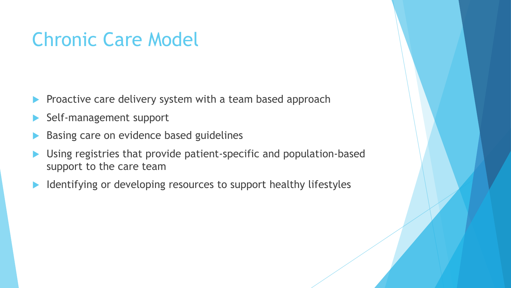#### Chronic Care Model

- Proactive care delivery system with a team based approach
- Self-management support
- Basing care on evidence based guidelines
- Using registries that provide patient-specific and population-based support to the care team
- Identifying or developing resources to support healthy lifestyles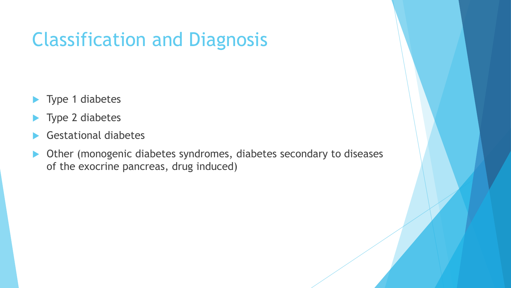### Classification and Diagnosis

- ▶ Type 1 diabetes
- ▶ Type 2 diabetes
- Gestational diabetes
- Other (monogenic diabetes syndromes, diabetes secondary to diseases of the exocrine pancreas, drug induced)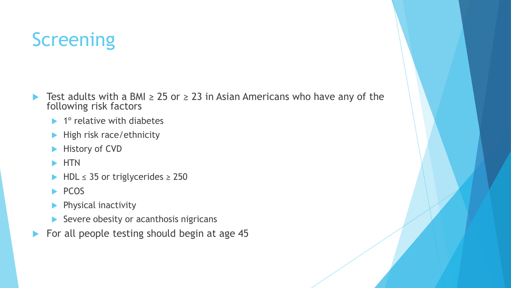# **Screening**

- **►** Test adults with a BMI  $\geq$  25 or  $\geq$  23 in Asian Americans who have any of the following risk factors
	- $\blacktriangleright$  1° relative with diabetes
	- $\blacktriangleright$  High risk race/ethnicity
	- **History of CVD**
	- $\blacktriangleright$  HTN
	- $\blacktriangleright$  HDL  $\leq$  35 or triglycerides  $\geq$  250
	- $\blacktriangleright$  PCOS
	- Physical inactivity
	- $\blacktriangleright$  Severe obesity or acanthosis nigricans
- For all people testing should begin at age 45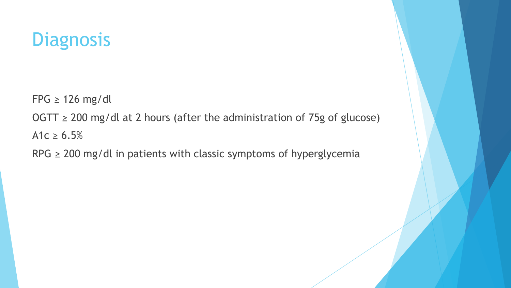#### **Diagnosis**

 $FPG \geq 126$  mg/dl

OGTT  $\geq$  200 mg/dl at 2 hours (after the administration of 75g of glucose) A1c  $\ge 6.5\%$ 

RPG  $\geq$  200 mg/dl in patients with classic symptoms of hyperglycemia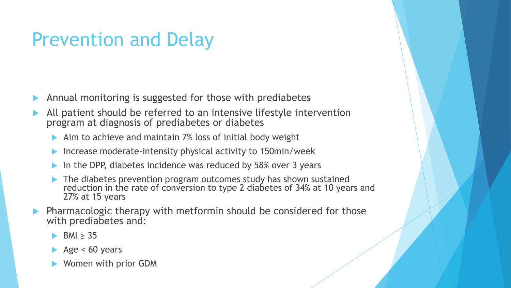#### Prevention and Delay

- Annual monitoring is suggested for those with prediabetes
- All patient should be referred to an intensive lifestyle intervention program at diagnosis of prediabetes or diabetes
	- $\blacktriangleright$  Aim to achieve and maintain 7% loss of initial body weight
	- Increase moderate-intensity physical activity to 150min/week
	- In the DPP, diabetes incidence was reduced by 58% over 3 years
	- The diabetes prevention program outcomes study has shown sustained reduction in the rate of conversion to type 2 diabetes of 34% at 10 years and 27% at 15 years
- Pharmacologic therapy with metformin should be considered for those with prediabetes and:
	- BMI  $\geq$  35
	- Age  $< 60$  years
	- Women with prior GDM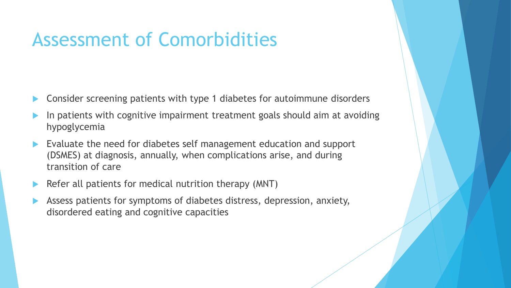#### Assessment of Comorbidities

- Consider screening patients with type 1 diabetes for autoimmune disorders
- In patients with cognitive impairment treatment goals should aim at avoiding hypoglycemia
- Evaluate the need for diabetes self management education and support (DSMES) at diagnosis, annually, when complications arise, and during transition of care
- Refer all patients for medical nutrition therapy (MNT)
- Assess patients for symptoms of diabetes distress, depression, anxiety, disordered eating and cognitive capacities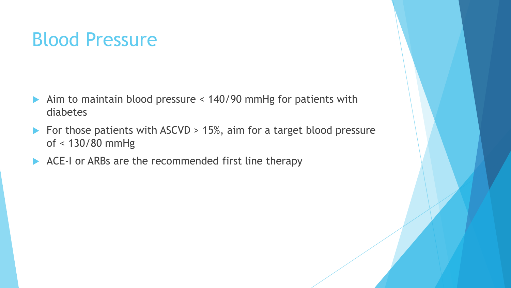#### Blood Pressure

- Aim to maintain blood pressure < 140/90 mmHg for patients with diabetes
- For those patients with  $ASCVD > 15%$ , aim for a target blood pressure of < 130/80 mmHg
- ACE-I or ARBs are the recommended first line therapy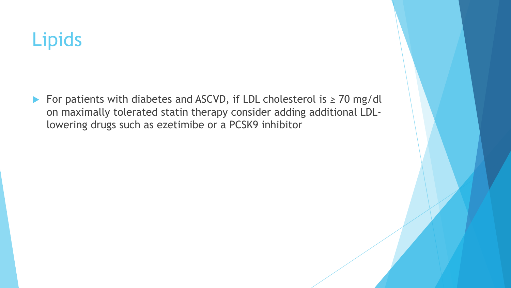### Lipids

 For patients with diabetes and ASCVD, if LDL cholesterol is ≥ 70 mg/dl on maximally tolerated statin therapy consider adding additional LDLlowering drugs such as ezetimibe or a PCSK9 inhibitor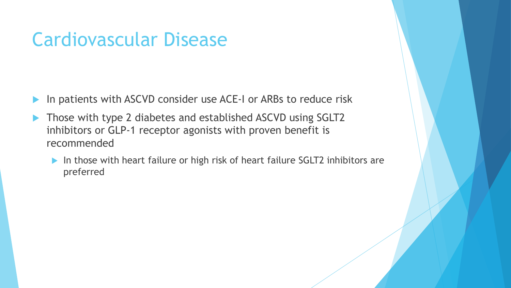#### Cardiovascular Disease

- In patients with ASCVD consider use ACE-I or ARBs to reduce risk
- ▶ Those with type 2 diabetes and established ASCVD using SGLT2 inhibitors or GLP-1 receptor agonists with proven benefit is recommended
	- ▶ In those with heart failure or high risk of heart failure SGLT2 inhibitors are preferred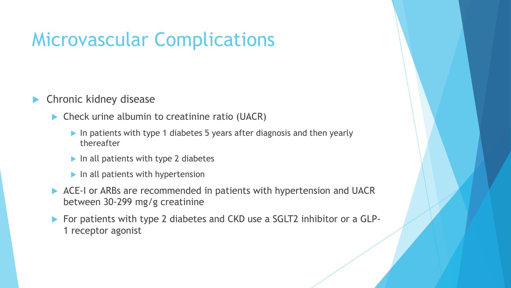#### Microvascular Complications

#### Chronic kidney disease

- ▶ Check urine albumin to creatinine ratio (UACR)
	- In patients with type 1 diabetes 5 years after diagnosis and then yearly thereafter
	- $\blacktriangleright$  In all patients with type 2 diabetes
	- $\blacktriangleright$  In all patients with hypertension
- ACE-I or ARBs are recommended in patients with hypertension and UACR between 30-299 mg/g creatinine
- ▶ For patients with type 2 diabetes and CKD use a SGLT2 inhibitor or a GLP-1 receptor agonist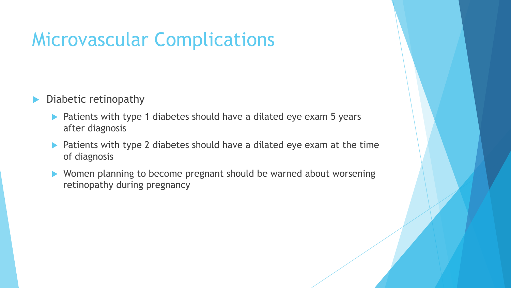#### Microvascular Complications

- Diabetic retinopathy
	- ▶ Patients with type 1 diabetes should have a dilated eye exam 5 years after diagnosis
	- ▶ Patients with type 2 diabetes should have a dilated eye exam at the time of diagnosis
	- Women planning to become pregnant should be warned about worsening retinopathy during pregnancy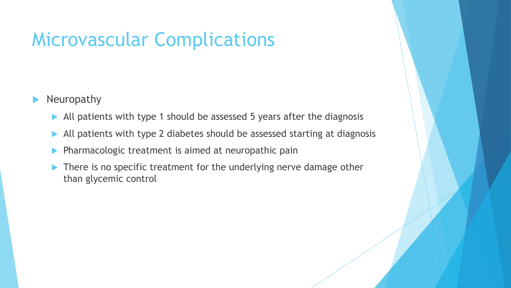#### Microvascular Complications

- Neuropathy
	- All patients with type 1 should be assessed 5 years after the diagnosis
	- All patients with type 2 diabetes should be assessed starting at diagnosis
	- Pharmacologic treatment is aimed at neuropathic pain
	- ▶ There is no specific treatment for the underlying nerve damage other than glycemic control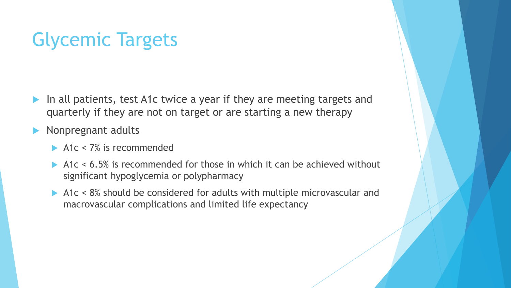### Glycemic Targets

- In all patients, test A1c twice a year if they are meeting targets and quarterly if they are not on target or are starting a new therapy
- Nonpregnant adults
	- $\blacktriangleright$  A1c < 7% is recommended
	- A1c  $\leq$  6.5% is recommended for those in which it can be achieved without significant hypoglycemia or polypharmacy
	- A1c < 8% should be considered for adults with multiple microvascular and macrovascular complications and limited life expectancy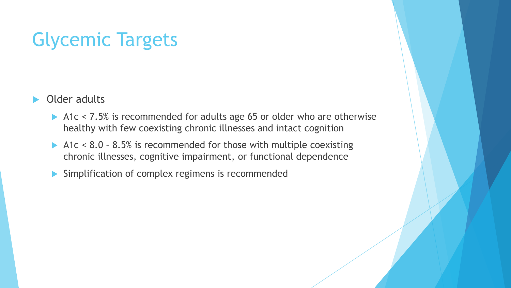#### Glycemic Targets

- Older adults
	- A1c < 7.5% is recommended for adults age 65 or older who are otherwise healthy with few coexisting chronic illnesses and intact cognition
	- A1c < 8.0 8.5% is recommended for those with multiple coexisting chronic illnesses, cognitive impairment, or functional dependence
	- Simplification of complex regimens is recommended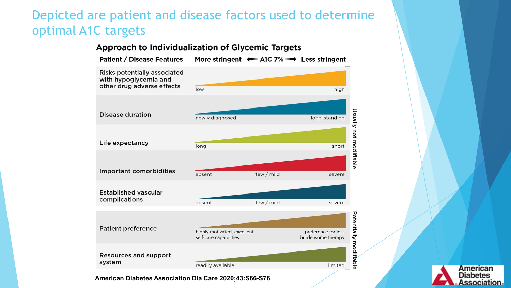#### Depicted are patient and disease factors used to determine optimal A1C targets



#### American abetes sociation。

**American Diabetes Association Dia Care 2020;43:S66-S76**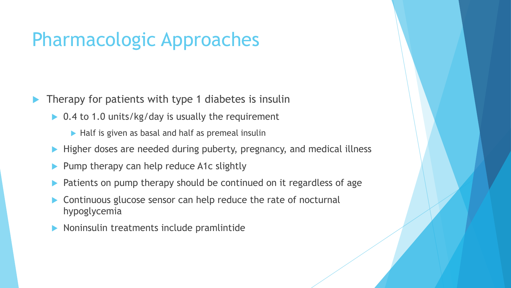#### Pharmacologic Approaches

Therapy for patients with type 1 diabetes is insulin

- ▶ 0.4 to 1.0 units/kg/day is usually the requirement
	- $\blacktriangleright$  Half is given as basal and half as premeal insulin
- **Higher doses are needed during puberty, pregnancy, and medical illness**
- Pump therapy can help reduce A1c slightly
- Patients on pump therapy should be continued on it regardless of age
- Continuous glucose sensor can help reduce the rate of nocturnal hypoglycemia
- Noninsulin treatments include pramlintide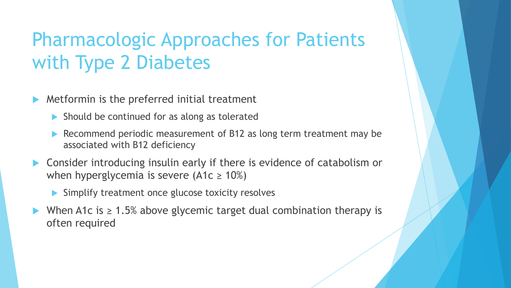### Pharmacologic Approaches for Patients with Type 2 Diabetes

Metformin is the preferred initial treatment

- $\blacktriangleright$  Should be continued for as along as tolerated
- Recommend periodic measurement of B12 as long term treatment may be associated with B12 deficiency
- ▶ Consider introducing insulin early if there is evidence of catabolism or when hyperglycemia is severe  $(A1c \ge 10\%)$ 
	- Simplify treatment once glucose toxicity resolves
- When A1c is  $\geq 1.5\%$  above glycemic target dual combination therapy is often required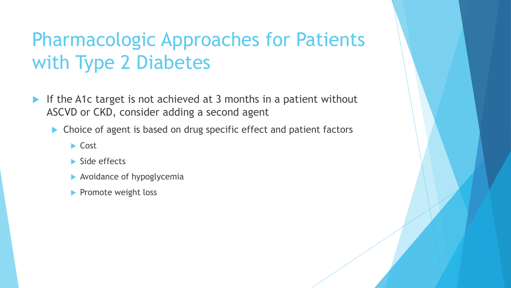### Pharmacologic Approaches for Patients with Type 2 Diabetes

- If the A1c target is not achieved at 3 months in a patient without ASCVD or CKD, consider adding a second agent
	- ▶ Choice of agent is based on drug specific effect and patient factors
		- $\blacktriangleright$  Cost
		- Side effects
		- Avoidance of hypoglycemia
		- Promote weight loss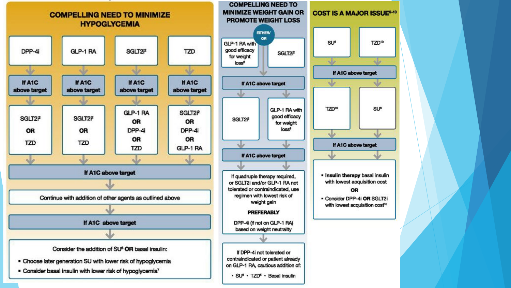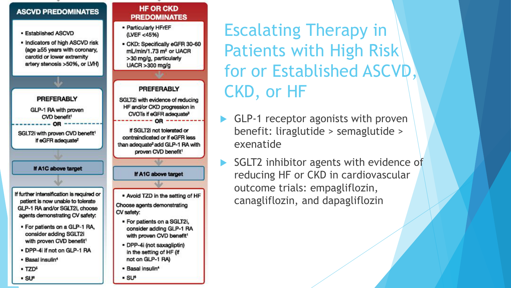#### **ASCVD PREDOMINATES**

- · Established ASCVD
- . Indicators of high ASCVD risk (age ≥55 years with coronary, carotid or lower extremity artery stenosis >50%, or LVH)

**PREFERABLY** 

GLP-1 RA with proven

CVD benefit<sup>1</sup>

ΛR

SGLT2i with proven CVD benefit<sup>1</sup>

if eGFR adequate<sup>2</sup>

**PREDOMINATES** - Particularly HFrEF (LVEF <45%) - CKD: Specifically eGFR 30-60 mL/min/1.73 m<sup>2</sup> or UACR

>30 mg/g, particularly  $UACR > 300$  mg/g

**HF OR CKD** 

#### **PREFERABLY**

SGLT2i with evidence of reducing HF and/or CKD progression in CVOTs if eGFR adequate<sup>3</sup> OR

If SGLT2i not tolerated or contraindicated or if eGFR less than adequate<sup>2</sup> add GLP-1 RA with proven CVD benefit<sup>1</sup>

If A1C above target

If further intensification is required or patient is now unable to tolerate GLP-1 RA and/or SGLT2i, choose agents demonstrating CV safety:

- · For patients on a GLP-1 RA, consider adding SGLT2i with proven CVD benefit<sup>1</sup>
- . DPP-4i if not on GLP-1 RA
- · Basal insulin<sup>4</sup>
- $\cdot$  TZD<sup>5</sup>
- $\cdot$  SU $\circ$

Escalating Therapy in Patients with High Risk for or Established ASCVD, CKD, or HF

- GLP-1 receptor agonists with proven benefit: liraglutide > semaglutide > exenatide
- SGLT2 inhibitor agents with evidence of reducing HF or CKD in cardiovascular outcome trials: empagliflozin, canagliflozin, and dapagliflozin
- . Avoid TZD in the setting of HF Choose agents demonstrating CV safety:

If A1C above target

- · For patients on a SGLT2i, consider adding GLP-1 RA with proven CVD benefit<sup>1</sup>
- · DPP-4i (not saxagliptin) in the setting of HF (if not on GLP-1 RA)
- Basal insulin<sup>4</sup>
- SU<sup>6</sup>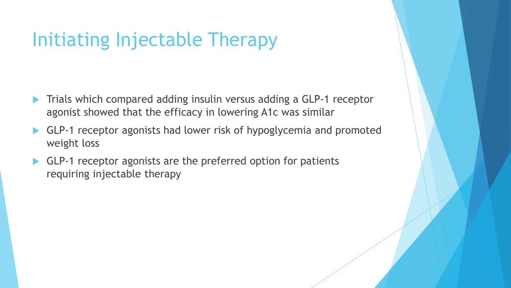# Initiating Injectable Therapy

- Trials which compared adding insulin versus adding a GLP-1 receptor agonist showed that the efficacy in lowering A1c was similar
- GLP-1 receptor agonists had lower risk of hypoglycemia and promoted weight loss
- GLP-1 receptor agonists are the preferred option for patients requiring injectable therapy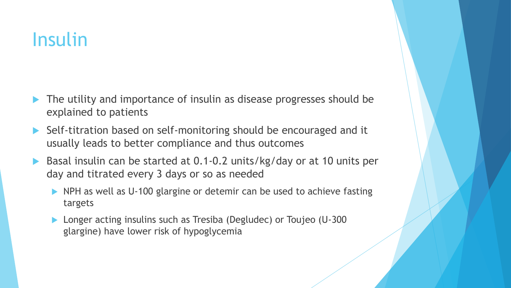#### Insulin

- The utility and importance of insulin as disease progresses should be explained to patients
- ▶ Self-titration based on self-monitoring should be encouraged and it usually leads to better compliance and thus outcomes
- Basal insulin can be started at 0.1-0.2 units/kg/day or at 10 units per day and titrated every 3 days or so as needed
	- ▶ NPH as well as U-100 glargine or detemir can be used to achieve fasting targets
	- ▶ Longer acting insulins such as Tresiba (Degludec) or Toujeo (U-300 glargine) have lower risk of hypoglycemia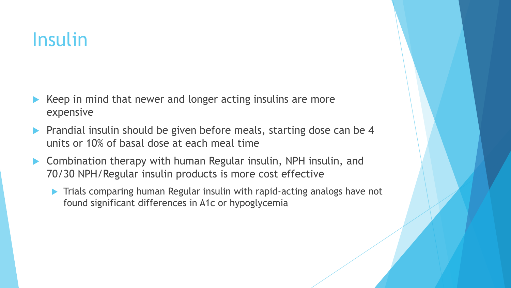#### Insulin

- Keep in mind that newer and longer acting insulins are more expensive
- Prandial insulin should be given before meals, starting dose can be 4 units or 10% of basal dose at each meal time
- ▶ Combination therapy with human Regular insulin, NPH insulin, and 70/30 NPH/Regular insulin products is more cost effective
	- **Trials comparing human Regular insulin with rapid-acting analogs have not** found significant differences in A1c or hypoglycemia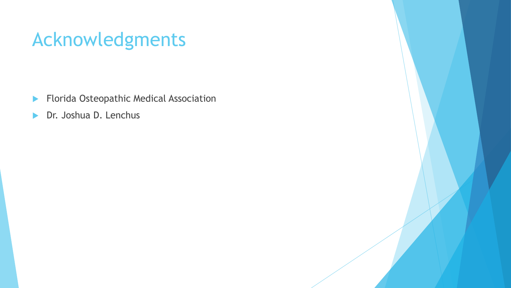#### Acknowledgments

- **Florida Osteopathic Medical Association**
- **Dr. Joshua D. Lenchus**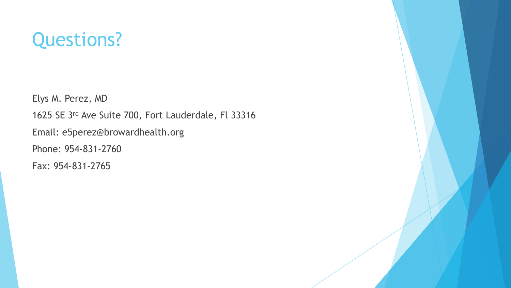#### Questions?

Elys M. Perez, MD 1625 SE 3rd Ave Suite 700, Fort Lauderdale, Fl 33316 Email: e5perez@browardhealth.org Phone: 954-831-2760 Fax: 954-831-2765